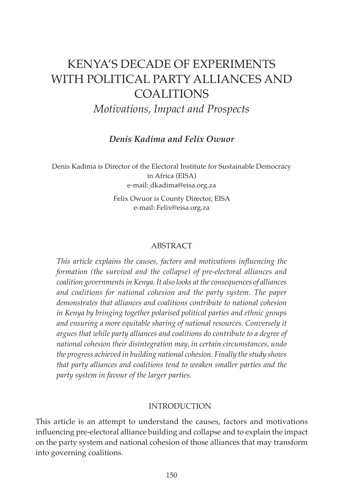# KENYA'S DECADE OF EXPERIMENTS WITH POLITICAL PARTY ALLIANCES AND **COALITIONS**

*Motivations, Impact and Prospects*

*Denis Kadima and Felix Owuor*

Denis Kadima is Director of the Electoral Institute for Sustainable Democracy in Africa (EISA) e-mail: dkadima@eisa.org.za

> Felix Owuor is County Director, EISA e-mail: Felix@eisa.org.za

#### ABSTRACT

*This article explains the causes, factors and motivations influencing the formation (the survival and the collapse) of pre-electoral alliances and coalition governments in Kenya. It also looks at the consequences of alliances and coalitions for national cohesion and the party system. The paper demonstrates that alliances and coalitions contribute to national cohesion in Kenya by bringing together polarised political parties and ethnic groups and ensuring a more equitable sharing of national resources. Conversely it argues that while party alliances and coalitions do contribute to a degree of national cohesion their disintegration may, in certain circumstances, undo the progress achieved in building national cohesion. Finally the study shows that party alliances and coalitions tend to weaken smaller parties and the party system in favour of the larger parties.* 

#### INTRODUCTION

This article is an attempt to understand the causes, factors and motivations influencing pre-electoral alliance building and collapse and to explain the impact on the party system and national cohesion of those alliances that may transform into governing coalitions.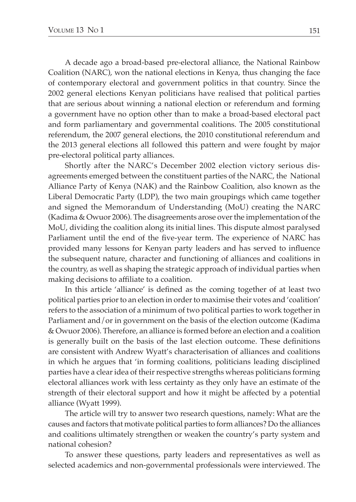A decade ago a broad-based pre-electoral alliance, the National Rainbow Coalition (NARC), won the national elections in Kenya, thus changing the face of contemporary electoral and government politics in that country. Since the 2002 general elections Kenyan politicians have realised that political parties that are serious about winning a national election or referendum and forming a government have no option other than to make a broad-based electoral pact and form parliamentary and governmental coalitions. The 2005 constitutional referendum, the 2007 general elections, the 2010 constitutional referendum and the 2013 general elections all followed this pattern and were fought by major pre-electoral political party alliances.

Shortly after the NARC's December 2002 election victory serious disagreements emerged between the constituent parties of the NARC, the National Alliance Party of Kenya (NAK) and the Rainbow Coalition, also known as the Liberal Democratic Party (LDP), the two main groupings which came together and signed the Memorandum of Understanding (MoU) creating the NARC (Kadima & Owuor 2006). The disagreements arose over the implementation of the MoU, dividing the coalition along its initial lines. This dispute almost paralysed Parliament until the end of the five-year term. The experience of NARC has provided many lessons for Kenyan party leaders and has served to influence the subsequent nature, character and functioning of alliances and coalitions in the country, as well as shaping the strategic approach of individual parties when making decisions to affiliate to a coalition.

In this article 'alliance' is defined as the coming together of at least two political parties prior to an election in order to maximise their votes and 'coalition' refers to the association of a minimum of two political parties to work together in Parliament and/or in government on the basis of the election outcome (Kadima & Owuor 2006). Therefore, an alliance is formed before an election and a coalition is generally built on the basis of the last election outcome. These definitions are consistent with Andrew Wyatt's characterisation of alliances and coalitions in which he argues that 'in forming coalitions, politicians leading disciplined parties have a clear idea of their respective strengths whereas politicians forming electoral alliances work with less certainty as they only have an estimate of the strength of their electoral support and how it might be affected by a potential alliance (Wyatt 1999).

The article will try to answer two research questions, namely: What are the causes and factors that motivate political parties to form alliances? Do the alliances and coalitions ultimately strengthen or weaken the country's party system and national cohesion?

To answer these questions, party leaders and representatives as well as selected academics and non-governmental professionals were interviewed. The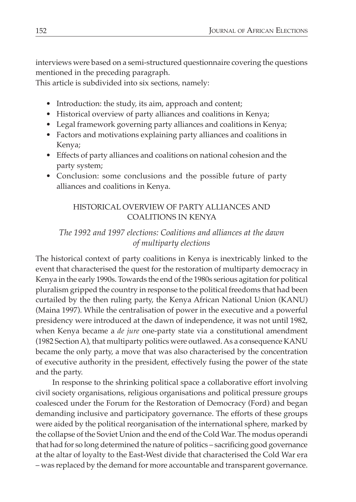interviews were based on a semi-structured questionnaire covering the questions mentioned in the preceding paragraph.

This article is subdivided into six sections, namely:

- Introduction: the study, its aim, approach and content;
- Historical overview of party alliances and coalitions in Kenya;
- Legal framework governing party alliances and coalitions in Kenya;
- Factors and motivations explaining party alliances and coalitions in Kenya;
- Effects of party alliances and coalitions on national cohesion and the party system;
- Conclusion: some conclusions and the possible future of party alliances and coalitions in Kenya.

## HISTORICAL OVERVIEW OF PARTY ALLIANCES AND COALITIONS IN KENYA

## *The 1992 and 1997 elections: Coalitions and alliances at the dawn of multiparty elections*

The historical context of party coalitions in Kenya is inextricably linked to the event that characterised the quest for the restoration of multiparty democracy in Kenya in the early 1990s. Towards the end of the 1980s serious agitation for political pluralism gripped the country in response to the political freedoms that had been curtailed by the then ruling party, the Kenya African National Union (KANU) (Maina 1997). While the centralisation of power in the executive and a powerful presidency were introduced at the dawn of independence, it was not until 1982, when Kenya became a *de jure* one-party state via a constitutional amendment (1982 Section A), that multiparty politics were outlawed. As a consequence KANU became the only party, a move that was also characterised by the concentration of executive authority in the president, effectively fusing the power of the state and the party.

In response to the shrinking political space a collaborative effort involving civil society organisations, religious organisations and political pressure groups coalesced under the Forum for the Restoration of Democracy (Ford) and began demanding inclusive and participatory governance. The efforts of these groups were aided by the political reorganisation of the international sphere, marked by the collapse of the Soviet Union and the end of the Cold War. The modus operandi that had for so long determined the nature of politics – sacrificing good governance at the altar of loyalty to the East-West divide that characterised the Cold War era – was replaced by the demand for more accountable and transparent governance.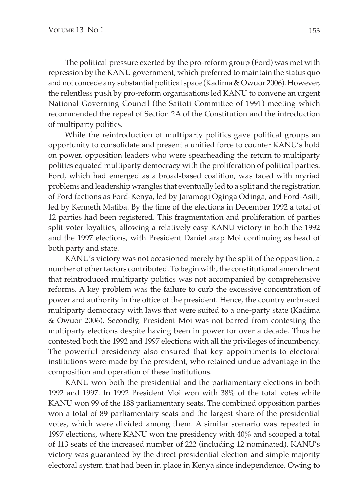The political pressure exerted by the pro-reform group (Ford) was met with repression by the KANU government, which preferred to maintain the status quo and not concede any substantial political space (Kadima & Owuor 2006). However, the relentless push by pro-reform organisations led KANU to convene an urgent National Governing Council (the Saitoti Committee of 1991) meeting which recommended the repeal of Section 2A of the Constitution and the introduction of multiparty politics.

While the reintroduction of multiparty politics gave political groups an opportunity to consolidate and present a unified force to counter KANU's hold on power, opposition leaders who were spearheading the return to multiparty politics equated multiparty democracy with the proliferation of political parties. Ford, which had emerged as a broad-based coalition, was faced with myriad problems and leadership wrangles that eventually led to a split and the registration of Ford factions as Ford-Kenya, led by Jaramogi Oginga Odinga, and Ford-Asili, led by Kenneth Matiba. By the time of the elections in December 1992 a total of 12 parties had been registered. This fragmentation and proliferation of parties split voter loyalties, allowing a relatively easy KANU victory in both the 1992 and the 1997 elections, with President Daniel arap Moi continuing as head of both party and state.

KANU's victory was not occasioned merely by the split of the opposition, a number of other factors contributed. To begin with, the constitutional amendment that reintroduced multiparty politics was not accompanied by comprehensive reforms. A key problem was the failure to curb the excessive concentration of power and authority in the office of the president. Hence, the country embraced multiparty democracy with laws that were suited to a one-party state (Kadima & Owuor 2006). Secondly, President Moi was not barred from contesting the multiparty elections despite having been in power for over a decade. Thus he contested both the 1992 and 1997 elections with all the privileges of incumbency. The powerful presidency also ensured that key appointments to electoral institutions were made by the president, who retained undue advantage in the composition and operation of these institutions.

KANU won both the presidential and the parliamentary elections in both 1992 and 1997. In 1992 President Moi won with 38% of the total votes while KANU won 99 of the 188 parliamentary seats. The combined opposition parties won a total of 89 parliamentary seats and the largest share of the presidential votes, which were divided among them. A similar scenario was repeated in 1997 elections, where KANU won the presidency with 40% and scooped a total of 113 seats of the increased number of 222 (including 12 nominated). KANU's victory was guaranteed by the direct presidential election and simple majority electoral system that had been in place in Kenya since independence. Owing to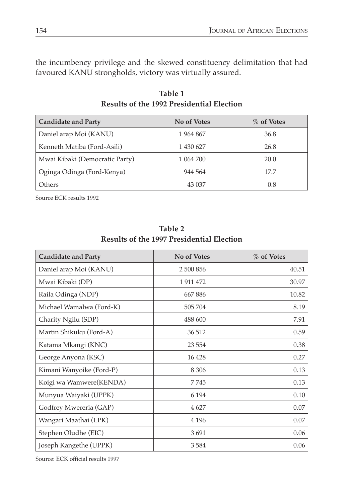the incumbency privilege and the skewed constituency delimitation that had favoured KANU strongholds, victory was virtually assured.

| <b>Candidate and Party</b>     | No of Votes | % of Votes |
|--------------------------------|-------------|------------|
| Daniel arap Moi (KANU)         | 1964867     | 36.8       |
| Kenneth Matiba (Ford-Asili)    | 1 430 627   | 26.8       |
| Mwai Kibaki (Democratic Party) | 1 064 700   | 20.0       |
| Oginga Odinga (Ford-Kenya)     | 944 564     | 17.7       |
| Others                         | 43 037      | 0.8        |

**Table 1 Results of the 1992 Presidential Election**

Source ECK results 1992

| <b>Candidate and Party</b> | <b>No of Votes</b> | % of Votes |
|----------------------------|--------------------|------------|
| Daniel arap Moi (KANU)     | 2 500 856          | 40.51      |
| Mwai Kibaki (DP)           | 1 911 472          | 30.97      |
| Raila Odinga (NDP)         | 667886             | 10.82      |
| Michael Wamalwa (Ford-K)   | 505 704            | 8.19       |
| Charity Ngilu (SDP)        | 488 600            | 7.91       |
| Martin Shikuku (Ford-A)    | 36 512             | 0.59       |
| Katama Mkangi (KNC)        | 23 5 54            | 0.38       |
| George Anyona (KSC)        | 16428              | 0.27       |
| Kimani Wanyoike (Ford-P)   | 8 3 0 6            | 0.13       |
| Koigi wa Wamwere(KENDA)    | 7745               | 0.13       |
| Munyua Waiyaki (UPPK)      | 6 1 9 4            | 0.10       |
| Godfrey Mwereria (GAP)     | 4 6 2 7            | 0.07       |
| Wangari Maathai (LPK)      | 4 1 9 6            | 0.07       |
| Stephen Oludhe (EIC)       | 3691               | 0.06       |
| Joseph Kangethe (UPPK)     | 3584               | 0.06       |

**Table 2 Results of the 1997 Presidential Election**

Source: ECK official results 1997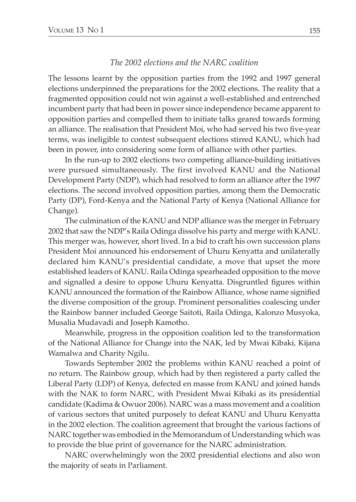#### *The 2002 elections and the NARC coalition*

The lessons learnt by the opposition parties from the 1992 and 1997 general elections underpinned the preparations for the 2002 elections. The reality that a fragmented opposition could not win against a well-established and entrenched incumbent party that had been in power since independence became apparent to opposition parties and compelled them to initiate talks geared towards forming an alliance. The realisation that President Moi, who had served his two five-year terms, was ineligible to contest subsequent elections stirred KANU, which had been in power, into considering some form of alliance with other parties.

In the run-up to 2002 elections two competing alliance-building initiatives were pursued simultaneously. The first involved KANU and the National Development Party (NDP), which had resolved to form an alliance after the 1997 elections. The second involved opposition parties, among them the Democratic Party (DP), Ford-Kenya and the National Party of Kenya (National Alliance for Change).

The culmination of the KANU and NDP alliance was the merger in February 2002 that saw the NDP's Raila Odinga dissolve his party and merge with KANU. This merger was, however, short lived. In a bid to craft his own succession plans President Moi announced his endorsement of Uhuru Kenyatta and unilaterally declared him KANU's presidential candidate, a move that upset the more established leaders of KANU. Raila Odinga spearheaded opposition to the move and signalled a desire to oppose Uhuru Kenyatta. Disgruntled figures within KANU announced the formation of the Rainbow Alliance, whose name signified the diverse composition of the group. Prominent personalities coalescing under the Rainbow banner included George Saitoti, Raila Odinga, Kalonzo Musyoka, Musalia Mudavadi and Joseph Kamotho.

Meanwhile, progress in the opposition coalition led to the transformation of the National Alliance for Change into the NAK, led by Mwai Kibaki, Kijana Wamalwa and Charity Ngilu.

Towards September 2002 the problems within KANU reached a point of no return. The Rainbow group, which had by then registered a party called the Liberal Party (LDP) of Kenya, defected en masse from KANU and joined hands with the NAK to form NARC, with President Mwai Kibaki as its presidential candidate (Kadima & Owuor 2006). NARC was a mass movement and a coalition of various sectors that united purposely to defeat KANU and Uhuru Kenyatta in the 2002 election. The coalition agreement that brought the various factions of NARC together was embodied in the Memorandum of Understanding which was to provide the blue print of governance for the NARC administration.

NARC overwhelmingly won the 2002 presidential elections and also won the majority of seats in Parliament.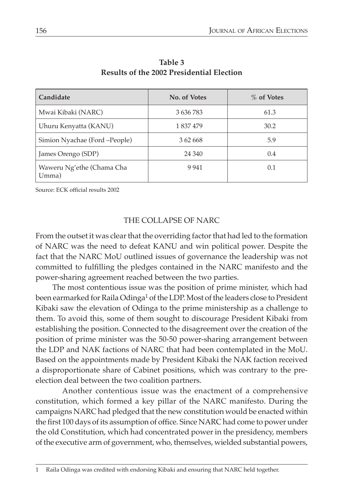| Candidate                          | No. of Votes | % of Votes |
|------------------------------------|--------------|------------|
| Mwai Kibaki (NARC)                 | 3 636 783    | 61.3       |
| Uhuru Kenyatta (KANU)              | 1 837 479    | 30.2       |
| Simion Nyachae (Ford -People)      | 3 62 668     | 5.9        |
| James Orengo (SDP)                 | 24 340       | 0.4        |
| Waweru Ng'ethe (Chama Cha<br>Umma) | 9 9 4 1      | 0.1        |

**Table 3 Results of the 2002 Presidential Election**

Source: ECK official results 2002

#### The collapse of NARC

From the outset it was clear that the overriding factor that had led to the formation of NARC was the need to defeat KANU and win political power. Despite the fact that the NARC MoU outlined issues of governance the leadership was not committed to fulfilling the pledges contained in the NARC manifesto and the power-sharing agreement reached between the two parties.

The most contentious issue was the position of prime minister, which had been earmarked for Raila Odinga<sup>1</sup> of the LDP. Most of the leaders close to President Kibaki saw the elevation of Odinga to the prime ministership as a challenge to them. To avoid this, some of them sought to discourage President Kibaki from establishing the position. Connected to the disagreement over the creation of the position of prime minister was the 50-50 power-sharing arrangement between the LDP and NAK factions of NARC that had been contemplated in the MoU. Based on the appointments made by President Kibaki the NAK faction received a disproportionate share of Cabinet positions, which was contrary to the preelection deal between the two coalition partners.

Another contentious issue was the enactment of a comprehensive constitution, which formed a key pillar of the NARC manifesto. During the campaigns NARC had pledged that the new constitution would be enacted within the first 100 days of its assumption of office. Since NARC had come to power under the old Constitution, which had concentrated power in the presidency, members of the executive arm of government, who, themselves, wielded substantial powers,

<sup>1</sup> Raila Odinga was credited with endorsing Kibaki and ensuring that NARC held together.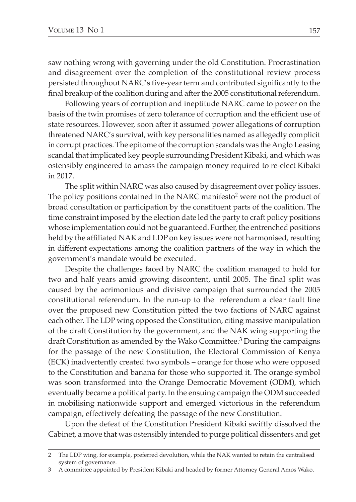saw nothing wrong with governing under the old Constitution. Procrastination and disagreement over the completion of the constitutional review process persisted throughout NARC's five-year term and contributed significantly to the final breakup of the coalition during and after the 2005 constitutional referendum.

Following years of corruption and ineptitude NARC came to power on the basis of the twin promises of zero tolerance of corruption and the efficient use of state resources. However, soon after it assumed power allegations of corruption threatened NARC's survival, with key personalities named as allegedly complicit in corrupt practices. The epitome of the corruption scandals was the Anglo Leasing scandal that implicated key people surrounding President Kibaki, and which was ostensibly engineered to amass the campaign money required to re-elect Kibaki in 2017.

The split within NARC was also caused by disagreement over policy issues. The policy positions contained in the NARC manifesto<sup>2</sup> were not the product of broad consultation or participation by the constituent parts of the coalition. The time constraint imposed by the election date led the party to craft policy positions whose implementation could not be guaranteed. Further, the entrenched positions held by the affiliated NAK and LDP on key issues were not harmonised, resulting in different expectations among the coalition partners of the way in which the government's mandate would be executed.

Despite the challenges faced by NARC the coalition managed to hold for two and half years amid growing discontent, until 2005. The final split was caused by the acrimonious and divisive campaign that surrounded the 2005 constitutional referendum. In the run-up to the referendum a clear fault line over the proposed new Constitution pitted the two factions of NARC against each other. The LDP wing opposed the Constitution, citing massive manipulation of the draft Constitution by the government, and the NAK wing supporting the draft Constitution as amended by the Wako Committee.3 During the campaigns for the passage of the new Constitution, the Electoral Commission of Kenya (ECK) inadvertently created two symbols – orange for those who were opposed to the Constitution and banana for those who supported it. The orange symbol was soon transformed into the Orange Democratic Movement (ODM), which eventually became a political party. In the ensuing campaign the ODM succeeded in mobilising nationwide support and emerged victorious in the referendum campaign, effectively defeating the passage of the new Constitution.

Upon the defeat of the Constitution President Kibaki swiftly dissolved the Cabinet, a move that was ostensibly intended to purge political dissenters and get

<sup>2</sup> The LDP wing, for example, preferred devolution, while the NAK wanted to retain the centralised system of governance.

<sup>3</sup> A committee appointed by President Kibaki and headed by former Attorney General Amos Wako.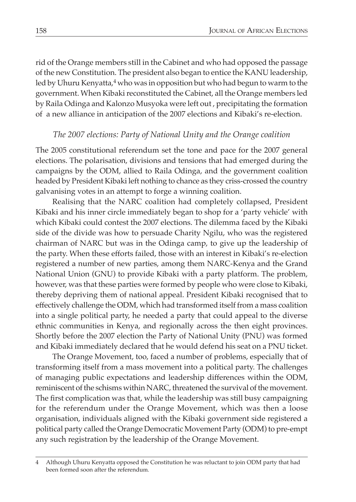rid of the Orange members still in the Cabinet and who had opposed the passage of the new Constitution. The president also began to entice the KANU leadership, led by Uhuru Kenyatta, $4$  who was in opposition but who had begun to warm to the government. When Kibaki reconstituted the Cabinet, all the Orange members led by Raila Odinga and Kalonzo Musyoka were left out , precipitating the formation of a new alliance in anticipation of the 2007 elections and Kibaki's re-election.

## *The 2007 elections: Party of National Unity and the Orange coalition*

The 2005 constitutional referendum set the tone and pace for the 2007 general elections. The polarisation, divisions and tensions that had emerged during the campaigns by the ODM, allied to Raila Odinga, and the government coalition headed by President Kibaki left nothing to chance as they criss-crossed the country galvanising votes in an attempt to forge a winning coalition.

Realising that the NARC coalition had completely collapsed, President Kibaki and his inner circle immediately began to shop for a 'party vehicle' with which Kibaki could contest the 2007 elections. The dilemma faced by the Kibaki side of the divide was how to persuade Charity Ngilu, who was the registered chairman of NARC but was in the Odinga camp, to give up the leadership of the party. When these efforts failed, those with an interest in Kibaki's re-election registered a number of new parties, among them NARC-Kenya and the Grand National Union (GNU) to provide Kibaki with a party platform. The problem, however, was that these parties were formed by people who were close to Kibaki, thereby depriving them of national appeal. President Kibaki recognised that to effectively challenge the ODM, which had transformed itself from a mass coalition into a single political party, he needed a party that could appeal to the diverse ethnic communities in Kenya, and regionally across the then eight provinces. Shortly before the 2007 election the Party of National Unity (PNU) was formed and Kibaki immediately declared that he would defend his seat on a PNU ticket.

The Orange Movement, too, faced a number of problems, especially that of transforming itself from a mass movement into a political party. The challenges of managing public expectations and leadership differences within the ODM, reminiscent of the schisms within NARC, threatened the survival of the movement. The first complication was that, while the leadership was still busy campaigning for the referendum under the Orange Movement, which was then a loose organisation, individuals aligned with the Kibaki government side registered a political party called the Orange Democratic Movement Party (ODM) to pre-empt any such registration by the leadership of the Orange Movement.

<sup>4</sup> Although Uhuru Kenyatta opposed the Constitution he was reluctant to join ODM party that had been formed soon after the referendum.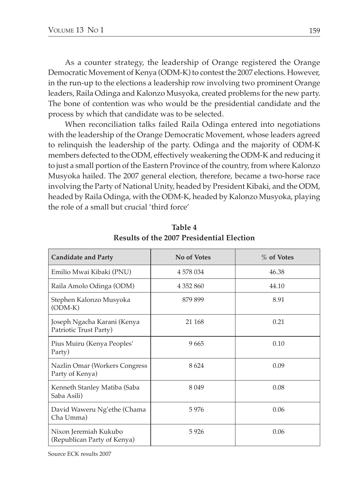As a counter strategy, the leadership of Orange registered the Orange Democratic Movement of Kenya (ODM-K) to contest the 2007 elections. However, in the run-up to the elections a leadership row involving two prominent Orange leaders, Raila Odinga and Kalonzo Musyoka, created problems for the new party. The bone of contention was who would be the presidential candidate and the process by which that candidate was to be selected.

When reconciliation talks failed Raila Odinga entered into negotiations with the leadership of the Orange Democratic Movement, whose leaders agreed to relinquish the leadership of the party. Odinga and the majority of ODM-K members defected to the ODM, effectively weakening the ODM-K and reducing it to just a small portion of the Eastern Province of the country, from where Kalonzo Musyoka hailed. The 2007 general election, therefore, became a two-horse race involving the Party of National Unity, headed by President Kibaki, and the ODM, headed by Raila Odinga, with the ODM-K, headed by Kalonzo Musyoka, playing the role of a small but crucial 'third force'

| <b>Candidate and Party</b>                            | <b>No of Votes</b> | % of Votes |
|-------------------------------------------------------|--------------------|------------|
| Emilio Mwai Kibaki (PNU)                              | 4 578 034          | 46.38      |
| Raila Amolo Odinga (ODM)                              | 4 3 5 2 8 6 0      | 44.10      |
| Stephen Kalonzo Musyoka<br>$(ODM-K)$                  | 879 899            | 8.91       |
| Joseph Ngacha Karani (Kenya<br>Patriotic Trust Party) | 21 168             | 0.21       |
| Pius Muiru (Kenya Peoples'<br>Party)                  | 9665               | 0.10       |
| Nazlin Omar (Workers Congress<br>Party of Kenya)      | 8624               | 0.09       |
| Kenneth Stanley Matiba (Saba<br>Saba Asili)           | 8 0 4 9            | 0.08       |
| David Waweru Ng'ethe (Chama<br>Cha Umma)              | 5976               | 0.06       |
| Nixon Jeremiah Kukubo<br>(Republican Party of Kenya)  | 5926               | 0.06       |

**Table 4 Results of the 2007 Presidential Election**

Source ECK results 2007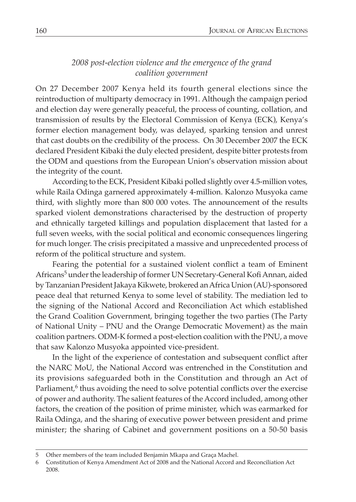## *2008 post-election violence and the emergence of the grand coalition government*

On 27 December 2007 Kenya held its fourth general elections since the reintroduction of multiparty democracy in 1991. Although the campaign period and election day were generally peaceful, the process of counting, collation, and transmission of results by the Electoral Commission of Kenya (ECK), Kenya's former election management body, was delayed, sparking tension and unrest that cast doubts on the credibility of the process. On 30 December 2007 the ECK declared President Kibaki the duly elected president, despite bitter protests from the ODM and questions from the European Union's observation mission about the integrity of the count.

According to the ECK, President Kibaki polled slightly over 4.5-million votes, while Raila Odinga garnered approximately 4-million. Kalonzo Musyoka came third, with slightly more than 800 000 votes. The announcement of the results sparked violent demonstrations characterised by the destruction of property and ethnically targeted killings and population displacement that lasted for a full seven weeks, with the social political and economic consequences lingering for much longer. The crisis precipitated a massive and unprecedented process of reform of the political structure and system.

Fearing the potential for a sustained violent conflict a team of Eminent Africans5 under the leadership of former UN Secretary-General Kofi Annan, aided by Tanzanian President Jakaya Kikwete, brokered an Africa Union (AU)-sponsored peace deal that returned Kenya to some level of stability. The mediation led to the signing of the National Accord and Reconciliation Act which established the Grand Coalition Government, bringing together the two parties (The Party of National Unity – PNU and the Orange Democratic Movement) as the main coalition partners. ODM-K formed a post-election coalition with the PNU, a move that saw Kalonzo Musyoka appointed vice-president.

In the light of the experience of contestation and subsequent conflict after the NARC MoU, the National Accord was entrenched in the Constitution and its provisions safeguarded both in the Constitution and through an Act of Parliament, $6$  thus avoiding the need to solve potential conflicts over the exercise of power and authority. The salient features of the Accord included, among other factors, the creation of the position of prime minister, which was earmarked for Raila Odinga, and the sharing of executive power between president and prime minister; the sharing of Cabinet and government positions on a 50-50 basis

<sup>5</sup> Other members of the team included Benjamin Mkapa and Graça Machel.

<sup>6</sup> Constitution of Kenya Amendment Act of 2008 and the National Accord and Reconciliation Act 2008.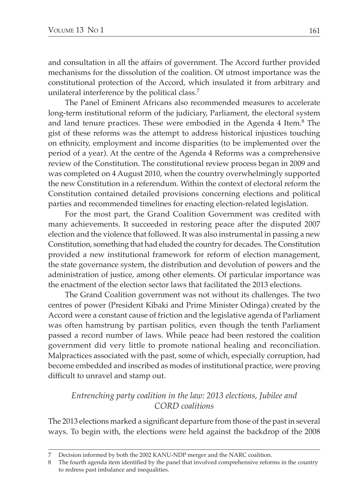and consultation in all the affairs of government. The Accord further provided mechanisms for the dissolution of the coalition. Of utmost importance was the constitutional protection of the Accord, which insulated it from arbitrary and unilateral interference by the political class.<sup>7</sup>

The Panel of Eminent Africans also recommended measures to accelerate long-term institutional reform of the judiciary, Parliament, the electoral system and land tenure practices. These were embodied in the Agenda 4 Item.8 The gist of these reforms was the attempt to address historical injustices touching on ethnicity, employment and income disparities (to be implemented over the period of a year). At the centre of the Agenda 4 Reforms was a comprehensive review of the Constitution. The constitutional review process began in 2009 and was completed on 4 August 2010, when the country overwhelmingly supported the new Constitution in a referendum. Within the context of electoral reform the Constitution contained detailed provisions concerning elections and political parties and recommended timelines for enacting election-related legislation.

For the most part, the Grand Coalition Government was credited with many achievements. It succeeded in restoring peace after the disputed 2007 election and the violence that followed. It was also instrumental in passing a new Constitution, something that had eluded the country for decades. The Constitution provided a new institutional framework for reform of election management, the state governance system, the distribution and devolution of powers and the administration of justice, among other elements. Of particular importance was the enactment of the election sector laws that facilitated the 2013 elections.

The Grand Coalition government was not without its challenges. The two centres of power (President Kibaki and Prime Minister Odinga) created by the Accord were a constant cause of friction and the legislative agenda of Parliament was often hamstrung by partisan politics, even though the tenth Parliament passed a record number of laws. While peace had been restored the coalition government did very little to promote national healing and reconciliation. Malpractices associated with the past, some of which, especially corruption, had become embedded and inscribed as modes of institutional practice, were proving difficult to unravel and stamp out.

## *Entrenching party coalition in the law: 2013 elections, Jubilee and CORD coalitions*

The 2013 elections marked a significant departure from those of the past in several ways. To begin with, the elections were held against the backdrop of the 2008

<sup>7</sup> Decision informed by both the 2002 KANU-NDP merger and the NARC coalition.

<sup>8</sup> The fourth agenda item identified by the panel that involved comprehensive reforms in the country to redress past imbalance and inequalities.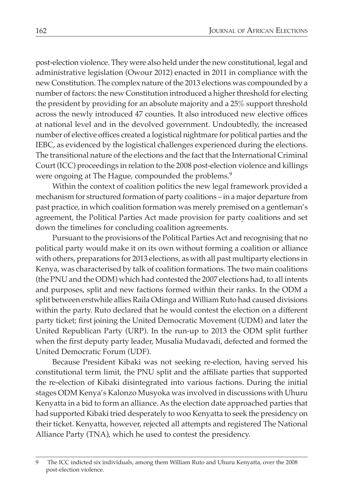post-election violence. They were also held under the new constitutional, legal and administrative legislation (Owour 2012) enacted in 2011 in compliance with the new Constitution. The complex nature of the 2013 elections was compounded by a number of factors: the new Constitution introduced a higher threshold for electing the president by providing for an absolute majority and a 25% support threshold across the newly introduced 47 counties. It also introduced new elective offices at national level and in the devolved government. Undoubtedly, the increased number of elective offices created a logistical nightmare for political parties and the IEBC, as evidenced by the logistical challenges experienced during the elections. The transitional nature of the elections and the fact that the International Criminal Court (ICC) proceedings in relation to the 2008 post-election violence and killings were ongoing at The Hague, compounded the problems.<sup>9</sup>

Within the context of coalition politics the new legal framework provided a mechanism for structured formation of party coalitions – in a major departure from past practice, in which coalition formation was merely premised on a gentleman's agreement, the Political Parties Act made provision for party coalitions and set down the timelines for concluding coalition agreements.

Pursuant to the provisions of the Political Parties Act and recognising that no political party would make it on its own without forming a coalition or alliance with others, preparations for 2013 elections, as with all past multiparty elections in Kenya, was characterised by talk of coalition formations. The two main coalitions (the PNU and the ODM) which had contested the 2007 elections had, to all intents and purposes, split and new factions formed within their ranks. In the ODM a split between erstwhile allies Raila Odinga and William Ruto had caused divisions within the party. Ruto declared that he would contest the election on a different party ticket; first joining the United Democratic Movement (UDM) and later the United Republican Party (URP). In the run-up to 2013 the ODM split further when the first deputy party leader, Musalia Mudavadi, defected and formed the United Democratic Forum (UDF).

Because President Kibaki was not seeking re-election, having served his constitutional term limit, the PNU split and the affiliate parties that supported the re-election of Kibaki disintegrated into various factions. During the initial stages ODM Kenya's Kalonzo Musyoka was involved in discussions with Uhuru Kenyatta in a bid to form an alliance. As the election date approached parties that had supported Kibaki tried desperately to woo Kenyatta to seek the presidency on their ticket. Kenyatta, however, rejected all attempts and registered The National Alliance Party (TNA), which he used to contest the presidency.

<sup>9</sup> The ICC indicted six individuals, among them William Ruto and Uhuru Kenyatta, over the 2008 post-election violence.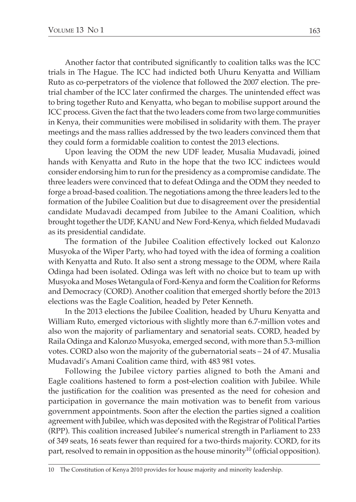Another factor that contributed significantly to coalition talks was the ICC trials in The Hague. The ICC had indicted both Uhuru Kenyatta and William Ruto as co-perpetrators of the violence that followed the 2007 election. The pretrial chamber of the ICC later confirmed the charges. The unintended effect was to bring together Ruto and Kenyatta, who began to mobilise support around the ICC process. Given the fact that the two leaders come from two large communities in Kenya, their communities were mobilised in solidarity with them. The prayer meetings and the mass rallies addressed by the two leaders convinced them that they could form a formidable coalition to contest the 2013 elections.

Upon leaving the ODM the new UDF leader, Musalia Mudavadi, joined hands with Kenyatta and Ruto in the hope that the two ICC indictees would consider endorsing him to run for the presidency as a compromise candidate. The three leaders were convinced that to defeat Odinga and the ODM they needed to forge a broad-based coalition. The negotiations among the three leaders led to the formation of the Jubilee Coalition but due to disagreement over the presidential candidate Mudavadi decamped from Jubilee to the Amani Coalition, which brought together the UDF, KANU and New Ford-Kenya, which fielded Mudavadi as its presidential candidate.

The formation of the Jubilee Coalition effectively locked out Kalonzo Musyoka of the Wiper Party, who had toyed with the idea of forming a coalition with Kenyatta and Ruto. It also sent a strong message to the ODM, where Raila Odinga had been isolated. Odinga was left with no choice but to team up with Musyoka and Moses Wetangula of Ford-Kenya and form the Coalition for Reforms and Democracy (CORD). Another coalition that emerged shortly before the 2013 elections was the Eagle Coalition, headed by Peter Kenneth.

In the 2013 elections the Jubilee Coalition, headed by Uhuru Kenyatta and William Ruto, emerged victorious with slightly more than 6.7-million votes and also won the majority of parliamentary and senatorial seats. CORD, headed by Raila Odinga and Kalonzo Musyoka, emerged second, with more than 5.3-million votes. CORD also won the majority of the gubernatorial seats – 24 of 47. Musalia Mudavadi's Amani Coalition came third, with 483 981 votes.

Following the Jubilee victory parties aligned to both the Amani and Eagle coalitions hastened to form a post-election coalition with Jubilee. While the justification for the coalition was presented as the need for cohesion and participation in governance the main motivation was to benefit from various government appointments. Soon after the election the parties signed a coalition agreement with Jubilee, which was deposited with the Registrar of Political Parties (RPP). This coalition increased Jubilee's numerical strength in Parliament to 233 of 349 seats, 16 seats fewer than required for a two-thirds majority. CORD, for its part, resolved to remain in opposition as the house minority<sup>10</sup> (official opposition).

10 The Constitution of Kenya 2010 provides for house majority and minority leadership.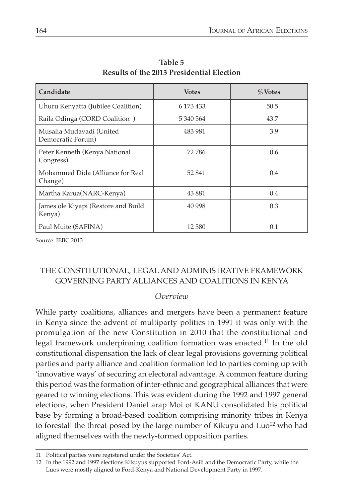| Candidate                                     | <b>Votes</b> | $%$ Votes |
|-----------------------------------------------|--------------|-----------|
| Uhuru Kenyatta (Jubilee Coalition)            | 6 173 433    | 50.5      |
| Raila Odinga (CORD Coalition)                 | 5 340 564    | 43.7      |
| Musalia Mudavadi (United<br>Democratic Forum) | 483 981      | 3.9       |
| Peter Kenneth (Kenya National<br>Congress)    | 72 786       | 0.6       |
| Mohammed Dida (Alliance for Real<br>Change)   | 52 841       | 0.4       |
| Martha Karua(NARC-Kenya)                      | 43 881       | 0.4       |
| James ole Kiyapi (Restore and Build<br>Kenya) | 40 998       | 0.3       |
| Paul Muite (SAFINA)                           | 12.580       | 0.1       |

**Table 5 Results of the 2013 Presidential Election**

Source: IEBC 2013

# THE CONSTITUTIONAL, LEGAL AND ADMINISTRATIVE FRAMEWORK GOVERNING PARTY ALLIANCES AND COALITIONS IN KENYA

#### *Overview*

While party coalitions, alliances and mergers have been a permanent feature in Kenya since the advent of multiparty politics in 1991 it was only with the promulgation of the new Constitution in 2010 that the constitutional and legal framework underpinning coalition formation was enacted.<sup>11</sup> In the old constitutional dispensation the lack of clear legal provisions governing political parties and party alliance and coalition formation led to parties coming up with 'innovative ways' of securing an electoral advantage. A common feature during this period was the formation of inter-ethnic and geographical alliances that were geared to winning elections. This was evident during the 1992 and 1997 general elections, when President Daniel arap Moi of KANU consolidated his political base by forming a broad-based coalition comprising minority tribes in Kenya to forestall the threat posed by the large number of Kikuyu and  $\text{Luol}^2$  who had aligned themselves with the newly-formed opposition parties.

<sup>11</sup> Political parties were registered under the Societies' Act.

<sup>12</sup> In the 1992 and 1997 elections Kikuyus supported Ford-Asili and the Democratic Party, while the Luos were mostly aligned to Ford-Kenya and National Development Party in 1997.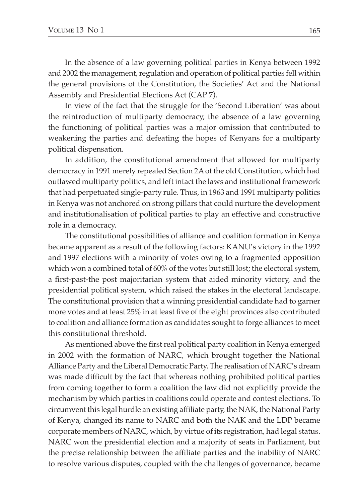In the absence of a law governing political parties in Kenya between 1992 and 2002 the management, regulation and operation of political parties fell within the general provisions of the Constitution, the Societies' Act and the National Assembly and Presidential Elections Act (CAP 7).

In view of the fact that the struggle for the 'Second Liberation' was about the reintroduction of multiparty democracy, the absence of a law governing the functioning of political parties was a major omission that contributed to weakening the parties and defeating the hopes of Kenyans for a multiparty political dispensation.

In addition, the constitutional amendment that allowed for multiparty democracy in 1991 merely repealed Section 2A of the old Constitution, which had outlawed multiparty politics, and left intact the laws and institutional framework that had perpetuated single-party rule. Thus, in 1963 and 1991 multiparty politics in Kenya was not anchored on strong pillars that could nurture the development and institutionalisation of political parties to play an effective and constructive role in a democracy.

The constitutional possibilities of alliance and coalition formation in Kenya became apparent as a result of the following factors: KANU's victory in the 1992 and 1997 elections with a minority of votes owing to a fragmented opposition which won a combined total of 60% of the votes but still lost; the electoral system, a first-past-the post majoritarian system that aided minority victory, and the presidential political system, which raised the stakes in the electoral landscape. The constitutional provision that a winning presidential candidate had to garner more votes and at least 25% in at least five of the eight provinces also contributed to coalition and alliance formation as candidates sought to forge alliances to meet this constitutional threshold.

As mentioned above the first real political party coalition in Kenya emerged in 2002 with the formation of NARC, which brought together the National Alliance Party and the Liberal Democratic Party. The realisation of NARC's dream was made difficult by the fact that whereas nothing prohibited political parties from coming together to form a coalition the law did not explicitly provide the mechanism by which parties in coalitions could operate and contest elections. To circumvent this legal hurdle an existing affiliate party, the NAK, the National Party of Kenya, changed its name to NARC and both the NAK and the LDP became corporate members of NARC, which, by virtue of its registration, had legal status. NARC won the presidential election and a majority of seats in Parliament, but the precise relationship between the affiliate parties and the inability of NARC to resolve various disputes, coupled with the challenges of governance, became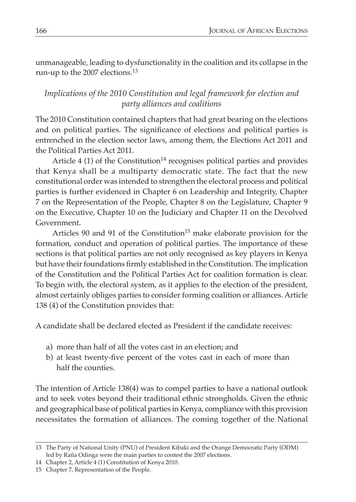unmanageable, leading to dysfunctionality in the coalition and its collapse in the run-up to the 2007 elections.<sup>13</sup>

## *Implications of the 2010 Constitution and legal framework for election and party alliances and coalitions*

The 2010 Constitution contained chapters that had great bearing on the elections and on political parties. The significance of elections and political parties is entrenched in the election sector laws, among them, the Elections Act 2011 and the Political Parties Act 2011.

Article 4 (1) of the Constitution<sup>14</sup> recognises political parties and provides that Kenya shall be a multiparty democratic state. The fact that the new constitutional order was intended to strengthen the electoral process and political parties is further evidenced in Chapter 6 on Leadership and Integrity, Chapter 7 on the Representation of the People, Chapter 8 on the Legislature, Chapter 9 on the Executive, Chapter 10 on the Judiciary and Chapter 11 on the Devolved Government.

Articles 90 and 91 of the Constitution<sup>15</sup> make elaborate provision for the formation, conduct and operation of political parties. The importance of these sections is that political parties are not only recognised as key players in Kenya but have their foundations firmly established in the Constitution. The implication of the Constitution and the Political Parties Act for coalition formation is clear. To begin with, the electoral system, as it applies to the election of the president, almost certainly obliges parties to consider forming coalition or alliances. Article 138 (4) of the Constitution provides that:

A candidate shall be declared elected as President if the candidate receives:

- a) more than half of all the votes cast in an election; and
- b) at least twenty-five percent of the votes cast in each of more than half the counties.

The intention of Article 138(4) was to compel parties to have a national outlook and to seek votes beyond their traditional ethnic strongholds. Given the ethnic and geographical base of political parties in Kenya, compliance with this provision necessitates the formation of alliances. The coming together of the National

<sup>13</sup> The Party of National Unity (PNU) of President Kibaki and the Orange Democratic Party (ODM) led by Raila Odinga were the main parties to contest the 2007 elections.

<sup>14</sup> Chapter 2, Article 4 (1) Constitution of Kenya 2010.

<sup>15</sup> Chapter 7, Representation of the People.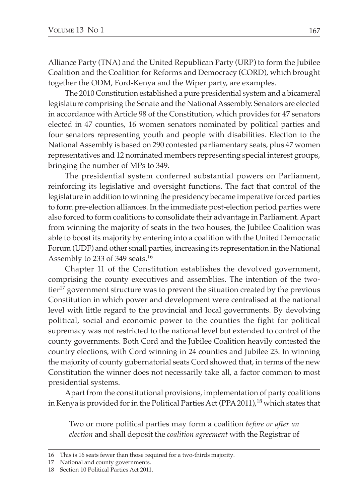Alliance Party (TNA) and the United Republican Party (URP) to form the Jubilee Coalition and the Coalition for Reforms and Democracy (CORD), which brought together the ODM, Ford-Kenya and the Wiper party, are examples.

The 2010 Constitution established a pure presidential system and a bicameral legislature comprising the Senate and the National Assembly. Senators are elected in accordance with Article 98 of the Constitution, which provides for 47 senators elected in 47 counties, 16 women senators nominated by political parties and four senators representing youth and people with disabilities. Election to the National Assembly is based on 290 contested parliamentary seats, plus 47 women representatives and 12 nominated members representing special interest groups, bringing the number of MPs to 349.

The presidential system conferred substantial powers on Parliament, reinforcing its legislative and oversight functions. The fact that control of the legislature in addition to winning the presidency became imperative forced parties to form pre-election alliances. In the immediate post-election period parties were also forced to form coalitions to consolidate their advantage in Parliament. Apart from winning the majority of seats in the two houses, the Jubilee Coalition was able to boost its majority by entering into a coalition with the United Democratic Forum (UDF) and other small parties, increasing its representation in the National Assembly to 233 of 349 seats.16

Chapter 11 of the Constitution establishes the devolved government, comprising the county executives and assemblies. The intention of the twotier17 government structure was to prevent the situation created by the previous Constitution in which power and development were centralised at the national level with little regard to the provincial and local governments. By devolving political, social and economic power to the counties the fight for political supremacy was not restricted to the national level but extended to control of the county governments. Both Cord and the Jubilee Coalition heavily contested the country elections, with Cord winning in 24 counties and Jubilee 23. In winning the majority of county gubernatorial seats Cord showed that, in terms of the new Constitution the winner does not necessarily take all, a factor common to most presidential systems.

Apart from the constitutional provisions, implementation of party coalitions in Kenya is provided for in the Political Parties Act (PPA 2011),<sup>18</sup> which states that

Two or more political parties may form a coalition *before or after an election* and shall deposit the *coalition agreement* with the Registrar of

<sup>16</sup> This is 16 seats fewer than those required for a two-thirds majority.

<sup>17</sup> National and county governments.

<sup>18</sup> Section 10 Political Parties Act 2011.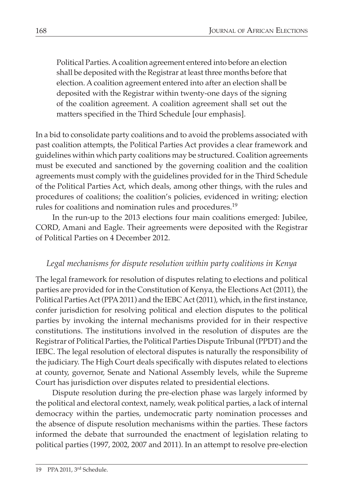Political Parties. A coalition agreement entered into before an election shall be deposited with the Registrar at least three months before that election. A coalition agreement entered into after an election shall be deposited with the Registrar within twenty-one days of the signing of the coalition agreement. A coalition agreement shall set out the matters specified in the Third Schedule [our emphasis].

In a bid to consolidate party coalitions and to avoid the problems associated with past coalition attempts, the Political Parties Act provides a clear framework and guidelines within which party coalitions may be structured. Coalition agreements must be executed and sanctioned by the governing coalition and the coalition agreements must comply with the guidelines provided for in the Third Schedule of the Political Parties Act, which deals, among other things, with the rules and procedures of coalitions; the coalition's policies, evidenced in writing; election rules for coalitions and nomination rules and procedures.<sup>19</sup>

In the run-up to the 2013 elections four main coalitions emerged: Jubilee, CORD, Amani and Eagle. Their agreements were deposited with the Registrar of Political Parties on 4 December 2012.

# *Legal mechanisms for dispute resolution within party coalitions in Kenya*

The legal framework for resolution of disputes relating to elections and political parties are provided for in the Constitution of Kenya, the Elections Act (2011), the Political Parties Act (PPA 2011) and the IEBC Act (2011), which, in the first instance, confer jurisdiction for resolving political and election disputes to the political parties by invoking the internal mechanisms provided for in their respective constitutions. The institutions involved in the resolution of disputes are the Registrar of Political Parties, the Political Parties Dispute Tribunal (PPDT) and the IEBC. The legal resolution of electoral disputes is naturally the responsibility of the judiciary. The High Court deals specifically with disputes related to elections at county, governor, Senate and National Assembly levels, while the Supreme Court has jurisdiction over disputes related to presidential elections.

Dispute resolution during the pre-election phase was largely informed by the political and electoral context, namely, weak political parties, a lack of internal democracy within the parties, undemocratic party nomination processes and the absence of dispute resolution mechanisms within the parties. These factors informed the debate that surrounded the enactment of legislation relating to political parties (1997, 2002, 2007 and 2011). In an attempt to resolve pre-election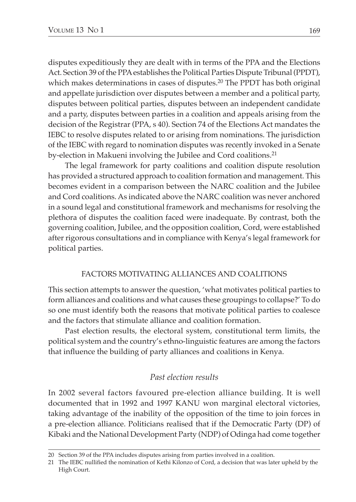disputes expeditiously they are dealt with in terms of the PPA and the Elections Act. Section 39 of the PPA establishes the Political Parties Dispute Tribunal (PPDT), which makes determinations in cases of disputes.<sup>20</sup> The PPDT has both original and appellate jurisdiction over disputes between a member and a political party, disputes between political parties, disputes between an independent candidate and a party, disputes between parties in a coalition and appeals arising from the decision of the Registrar (PPA, s 40). Section 74 of the Elections Act mandates the IEBC to resolve disputes related to or arising from nominations. The jurisdiction of the IEBC with regard to nomination disputes was recently invoked in a Senate by-election in Makueni involving the Jubilee and Cord coalitions.<sup>21</sup>

The legal framework for party coalitions and coalition dispute resolution has provided a structured approach to coalition formation and management. This becomes evident in a comparison between the NARC coalition and the Jubilee and Cord coalitions. As indicated above the NARC coalition was never anchored in a sound legal and constitutional framework and mechanisms for resolving the plethora of disputes the coalition faced were inadequate. By contrast, both the governing coalition, Jubilee, and the opposition coalition, Cord, were established after rigorous consultations and in compliance with Kenya's legal framework for political parties.

#### FACTORS MOTIVATING ALLIANCES AND COALITIONS

This section attempts to answer the question, 'what motivates political parties to form alliances and coalitions and what causes these groupings to collapse?' To do so one must identify both the reasons that motivate political parties to coalesce and the factors that stimulate alliance and coalition formation.

Past election results, the electoral system, constitutional term limits, the political system and the country's ethno-linguistic features are among the factors that influence the building of party alliances and coalitions in Kenya.

#### *Past election results*

In 2002 several factors favoured pre-election alliance building. It is well documented that in 1992 and 1997 KANU won marginal electoral victories, taking advantage of the inability of the opposition of the time to join forces in a pre-election alliance. Politicians realised that if the Democratic Party (DP) of Kibaki and the National Development Party (NDP) of Odinga had come together

<sup>20</sup> Section 39 of the PPA includes disputes arising from parties involved in a coalition.

<sup>21</sup> The IEBC nullified the nomination of Kethi Kilonzo of Cord, a decision that was later upheld by the High Court.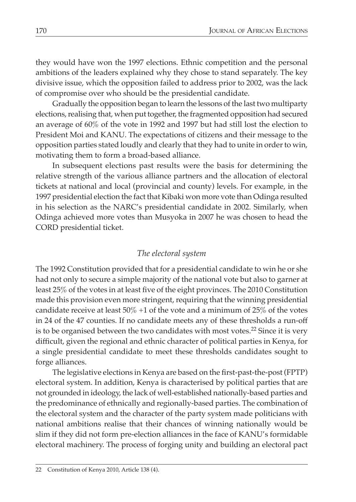they would have won the 1997 elections. Ethnic competition and the personal ambitions of the leaders explained why they chose to stand separately. The key divisive issue, which the opposition failed to address prior to 2002, was the lack of compromise over who should be the presidential candidate.

Gradually the opposition began to learn the lessons of the last two multiparty elections, realising that, when put together, the fragmented opposition had secured an average of 60% of the vote in 1992 and 1997 but had still lost the election to President Moi and KANU. The expectations of citizens and their message to the opposition parties stated loudly and clearly that they had to unite in order to win, motivating them to form a broad-based alliance.

In subsequent elections past results were the basis for determining the relative strength of the various alliance partners and the allocation of electoral tickets at national and local (provincial and county) levels. For example, in the 1997 presidential election the fact that Kibaki won more vote than Odinga resulted in his selection as the NARC's presidential candidate in 2002. Similarly, when Odinga achieved more votes than Musyoka in 2007 he was chosen to head the CORD presidential ticket.

## *The electoral system*

The 1992 Constitution provided that for a presidential candidate to win he or she had not only to secure a simple majority of the national vote but also to garner at least 25% of the votes in at least five of the eight provinces. The 2010 Constitution made this provision even more stringent, requiring that the winning presidential candidate receive at least  $50\% +1$  of the vote and a minimum of  $25\%$  of the votes in 24 of the 47 counties. If no candidate meets any of these thresholds a run-off is to be organised between the two candidates with most votes.<sup>22</sup> Since it is very difficult, given the regional and ethnic character of political parties in Kenya, for a single presidential candidate to meet these thresholds candidates sought to forge alliances.

The legislative elections in Kenya are based on the first-past-the-post (FPTP) electoral system. In addition, Kenya is characterised by political parties that are not grounded in ideology, the lack of well-established nationally-based parties and the predominance of ethnically and regionally-based parties. The combination of the electoral system and the character of the party system made politicians with national ambitions realise that their chances of winning nationally would be slim if they did not form pre-election alliances in the face of KANU's formidable electoral machinery. The process of forging unity and building an electoral pact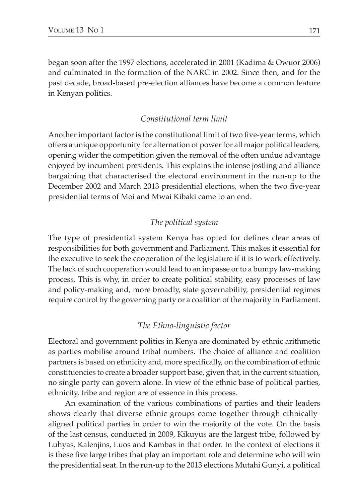began soon after the 1997 elections, accelerated in 2001 (Kadima & Owuor 2006) and culminated in the formation of the NARC in 2002. Since then, and for the past decade, broad-based pre-election alliances have become a common feature in Kenyan politics.

## *Constitutional term limit*

Another important factor is the constitutional limit of two five-year terms, which offers a unique opportunity for alternation of power for all major political leaders, opening wider the competition given the removal of the often undue advantage enjoyed by incumbent presidents. This explains the intense jostling and alliance bargaining that characterised the electoral environment in the run-up to the December 2002 and March 2013 presidential elections, when the two five-year presidential terms of Moi and Mwai Kibaki came to an end.

## *The political system*

The type of presidential system Kenya has opted for defines clear areas of responsibilities for both government and Parliament. This makes it essential for the executive to seek the cooperation of the legislature if it is to work effectively. The lack of such cooperation would lead to an impasse or to a bumpy law-making process. This is why, in order to create political stability, easy processes of law and policy-making and, more broadly, state governability, presidential regimes require control by the governing party or a coalition of the majority in Parliament.

## *The Ethno-linguistic factor*

Electoral and government politics in Kenya are dominated by ethnic arithmetic as parties mobilise around tribal numbers. The choice of alliance and coalition partners is based on ethnicity and, more specifically, on the combination of ethnic constituencies to create a broader support base, given that, in the current situation, no single party can govern alone. In view of the ethnic base of political parties, ethnicity, tribe and region are of essence in this process.

An examination of the various combinations of parties and their leaders shows clearly that diverse ethnic groups come together through ethnicallyaligned political parties in order to win the majority of the vote. On the basis of the last census, conducted in 2009, Kikuyus are the largest tribe, followed by Luhyas, Kalenjins, Luos and Kambas in that order. In the context of elections it is these five large tribes that play an important role and determine who will win the presidential seat. In the run-up to the 2013 elections Mutahi Gunyi, a political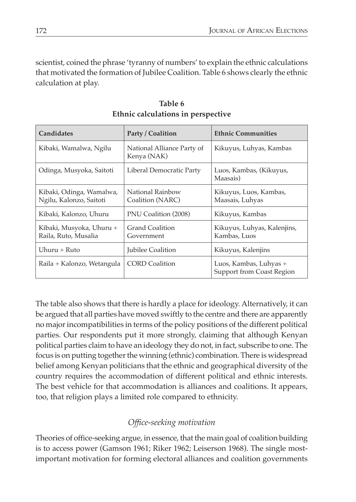scientist, coined the phrase 'tyranny of numbers' to explain the ethnic calculations that motivated the formation of Jubilee Coalition. Table 6 shows clearly the ethnic calculation at play.

| Candidates                                          | Party / Coalition                         | <b>Ethnic Communities</b>                           |
|-----------------------------------------------------|-------------------------------------------|-----------------------------------------------------|
| Kibaki, Wamalwa, Ngilu                              | National Alliance Party of<br>Kenya (NAK) | Kikuyus, Luhyas, Kambas                             |
| Odinga, Musyoka, Saitoti                            | Liberal Democratic Party                  | Luos, Kambas, (Kikuyus,<br>Maasais)                 |
| Kibaki, Odinga, Wamalwa,<br>Ngilu, Kalonzo, Saitoti | National Rainbow<br>Coalition (NARC)      | Kikuyus, Luos, Kambas,<br>Maasais, Luhyas           |
| Kibaki, Kalonzo, Uhuru                              | PNU Coalition (2008)                      | Kikuyus, Kambas                                     |
| Kibaki, Musyoka, Uhuru +<br>Raila, Ruto, Musalia    | Grand Coalition<br>Government             | Kikuyus, Luhyas, Kalenjins,<br>Kambas, Luos         |
| Uhuru + Ruto                                        | <b>Iubilee Coalition</b>                  | Kikuyus, Kalenjins                                  |
| Raila + Kalonzo, Wetangula                          | <b>CORD</b> Coalition                     | Luos, Kambas, Luhyas +<br>Support from Coast Region |

**Table 6 Ethnic calculations in perspective**

The table also shows that there is hardly a place for ideology. Alternatively, it can be argued that all parties have moved swiftly to the centre and there are apparently no major incompatibilities in terms of the policy positions of the different political parties. Our respondents put it more strongly, claiming that although Kenyan political parties claim to have an ideology they do not, in fact, subscribe to one. The focus is on putting together the winning (ethnic) combination. There is widespread belief among Kenyan politicians that the ethnic and geographical diversity of the country requires the accommodation of different political and ethnic interests. The best vehicle for that accommodation is alliances and coalitions. It appears, too, that religion plays a limited role compared to ethnicity.

# *Office-seeking motivation*

Theories of office-seeking argue, in essence, that the main goal of coalition building is to access power (Gamson 1961; Riker 1962; Leiserson 1968). The single mostimportant motivation for forming electoral alliances and coalition governments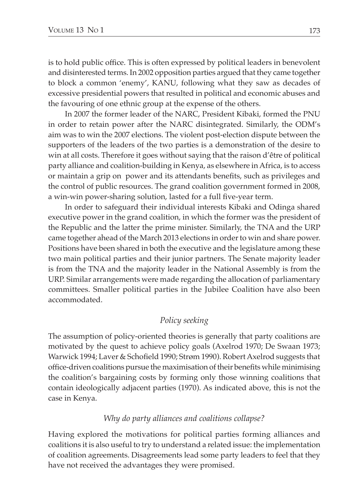is to hold public office. This is often expressed by political leaders in benevolent and disinterested terms. In 2002 opposition parties argued that they came together to block a common 'enemy', KANU, following what they saw as decades of excessive presidential powers that resulted in political and economic abuses and the favouring of one ethnic group at the expense of the others.

In 2007 the former leader of the NARC, President Kibaki, formed the PNU in order to retain power after the NARC disintegrated. Similarly, the ODM's aim was to win the 2007 elections. The violent post-election dispute between the supporters of the leaders of the two parties is a demonstration of the desire to win at all costs. Therefore it goes without saying that the raison d'être of political party alliance and coalition-building in Kenya, as elsewhere in Africa, is to access or maintain a grip on power and its attendants benefits, such as privileges and the control of public resources. The grand coalition government formed in 2008, a win-win power-sharing solution, lasted for a full five-year term.

In order to safeguard their individual interests Kibaki and Odinga shared executive power in the grand coalition, in which the former was the president of the Republic and the latter the prime minister. Similarly, the TNA and the URP came together ahead of the March 2013 elections in order to win and share power. Positions have been shared in both the executive and the legislature among these two main political parties and their junior partners. The Senate majority leader is from the TNA and the majority leader in the National Assembly is from the URP. Similar arrangements were made regarding the allocation of parliamentary committees. Smaller political parties in the Jubilee Coalition have also been accommodated.

## *Policy seeking*

The assumption of policy-oriented theories is generally that party coalitions are motivated by the quest to achieve policy goals (Axelrod 1970; De Swaan 1973; Warwick 1994; Laver & Schofield 1990; Strøm 1990). Robert Axelrod suggests that office-driven coalitions pursue the maximisation of their benefits while minimising the coalition's bargaining costs by forming only those winning coalitions that contain ideologically adjacent parties (1970). As indicated above, this is not the case in Kenya.

## *Why do party alliances and coalitions collapse?*

Having explored the motivations for political parties forming alliances and coalitions it is also useful to try to understand a related issue: the implementation of coalition agreements. Disagreements lead some party leaders to feel that they have not received the advantages they were promised.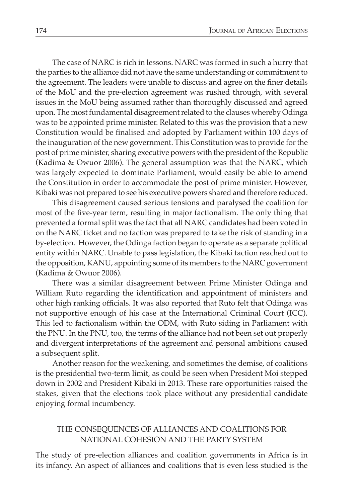The case of NARC is rich in lessons. NARC was formed in such a hurry that the parties to the alliance did not have the same understanding or commitment to the agreement. The leaders were unable to discuss and agree on the finer details of the MoU and the pre-election agreement was rushed through, with several issues in the MoU being assumed rather than thoroughly discussed and agreed upon. The most fundamental disagreement related to the clauses whereby Odinga was to be appointed prime minister. Related to this was the provision that a new Constitution would be finalised and adopted by Parliament within 100 days of the inauguration of the new government. This Constitution was to provide for the post of prime minister, sharing executive powers with the president of the Republic (Kadima & Owuor 2006). The general assumption was that the NARC, which was largely expected to dominate Parliament, would easily be able to amend the Constitution in order to accommodate the post of prime minister. However, Kibaki was not prepared to see his executive powers shared and therefore reduced.

This disagreement caused serious tensions and paralysed the coalition for most of the five-year term, resulting in major factionalism. The only thing that prevented a formal split was the fact that all NARC candidates had been voted in on the NARC ticket and no faction was prepared to take the risk of standing in a by-election. However, the Odinga faction began to operate as a separate political entity within NARC. Unable to pass legislation, the Kibaki faction reached out to the opposition, KANU, appointing some of its members to the NARC government (Kadima & Owuor 2006).

There was a similar disagreement between Prime Minister Odinga and William Ruto regarding the identification and appointment of ministers and other high ranking officials. It was also reported that Ruto felt that Odinga was not supportive enough of his case at the International Criminal Court (ICC). This led to factionalism within the ODM, with Ruto siding in Parliament with the PNU. In the PNU, too, the terms of the alliance had not been set out properly and divergent interpretations of the agreement and personal ambitions caused a subsequent split.

Another reason for the weakening, and sometimes the demise, of coalitions is the presidential two-term limit, as could be seen when President Moi stepped down in 2002 and President Kibaki in 2013. These rare opportunities raised the stakes, given that the elections took place without any presidential candidate enjoying formal incumbency.

#### THE CONSEQUENCES OF ALLIANCES AND COALITIONS FOR NATIONAL COHESION AND THE PARTY SYSTEM

The study of pre-election alliances and coalition governments in Africa is in its infancy. An aspect of alliances and coalitions that is even less studied is the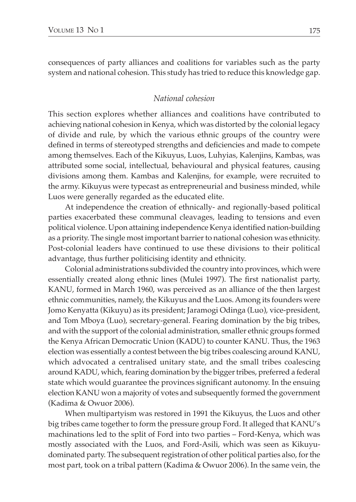consequences of party alliances and coalitions for variables such as the party system and national cohesion. This study has tried to reduce this knowledge gap.

#### *National cohesion*

This section explores whether alliances and coalitions have contributed to achieving national cohesion in Kenya, which was distorted by the colonial legacy of divide and rule, by which the various ethnic groups of the country were defined in terms of stereotyped strengths and deficiencies and made to compete among themselves. Each of the Kikuyus, Luos, Luhyias, Kalenjins, Kambas, was attributed some social, intellectual, behavioural and physical features, causing divisions among them. Kambas and Kalenjins, for example, were recruited to the army. Kikuyus were typecast as entrepreneurial and business minded, while Luos were generally regarded as the educated elite.

At independence the creation of ethnically- and regionally-based political parties exacerbated these communal cleavages, leading to tensions and even political violence. Upon attaining independence Kenya identified nation-building as a priority. The single most important barrier to national cohesion was ethnicity. Post-colonial leaders have continued to use these divisions to their political advantage, thus further politicising identity and ethnicity.

Colonial administrations subdivided the country into provinces, which were essentially created along ethnic lines (Mulei 1997). The first nationalist party, KANU, formed in March 1960, was perceived as an alliance of the then largest ethnic communities, namely, the Kikuyus and the Luos. Among its founders were Jomo Kenyatta (Kikuyu) as its president; Jaramogi Odinga (Luo), vice-president, and Tom Mboya (Luo), secretary-general. Fearing domination by the big tribes, and with the support of the colonial administration, smaller ethnic groups formed the Kenya African Democratic Union (KADU) to counter KANU. Thus, the 1963 election was essentially a contest between the big tribes coalescing around KANU, which advocated a centralised unitary state, and the small tribes coalescing around KADU, which, fearing domination by the bigger tribes, preferred a federal state which would guarantee the provinces significant autonomy. In the ensuing election KANU won a majority of votes and subsequently formed the government (Kadima & Owuor 2006).

When multipartyism was restored in 1991 the Kikuyus, the Luos and other big tribes came together to form the pressure group Ford. It alleged that KANU's machinations led to the split of Ford into two parties – Ford-Kenya, which was mostly associated with the Luos, and Ford-Asili, which was seen as Kikuyudominated party. The subsequent registration of other political parties also, for the most part, took on a tribal pattern (Kadima & Owuor 2006). In the same vein, the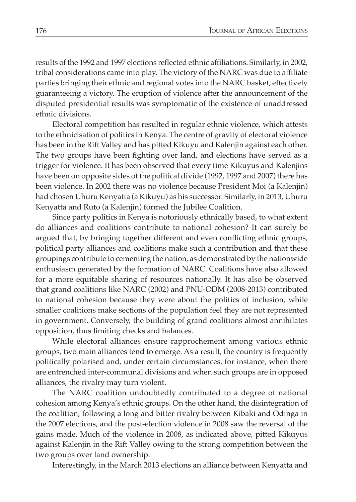results of the 1992 and 1997 elections reflected ethnic affiliations. Similarly, in 2002, tribal considerations came into play. The victory of the NARC was due to affiliate parties bringing their ethnic and regional votes into the NARC basket, effectively guaranteeing a victory. The eruption of violence after the announcement of the disputed presidential results was symptomatic of the existence of unaddressed ethnic divisions.

Electoral competition has resulted in regular ethnic violence, which attests to the ethnicisation of politics in Kenya. The centre of gravity of electoral violence has been in the Rift Valley and has pitted Kikuyu and Kalenjin against each other. The two groups have been fighting over land, and elections have served as a trigger for violence. It has been observed that every time Kikuyus and Kalenjins have been on opposite sides of the political divide (1992, 1997 and 2007) there has been violence. In 2002 there was no violence because President Moi (a Kalenjin) had chosen Uhuru Kenyatta (a Kikuyu) as his successor. Similarly, in 2013, Uhuru Kenyatta and Ruto (a Kalenjin) formed the Jubilee Coalition.

Since party politics in Kenya is notoriously ethnically based, to what extent do alliances and coalitions contribute to national cohesion? It can surely be argued that, by bringing together different and even conflicting ethnic groups, political party alliances and coalitions make such a contribution and that these groupings contribute to cementing the nation, as demonstrated by the nationwide enthusiasm generated by the formation of NARC. Coalitions have also allowed for a more equitable sharing of resources nationally. It has also be observed that grand coalitions like NARC (2002) and PNU-ODM (2008-2013) contributed to national cohesion because they were about the politics of inclusion, while smaller coalitions make sections of the population feel they are not represented in government. Conversely, the building of grand coalitions almost annihilates opposition, thus limiting checks and balances.

While electoral alliances ensure rapprochement among various ethnic groups, two main alliances tend to emerge. As a result, the country is frequently politically polarised and, under certain circumstances, for instance, when there are entrenched inter-communal divisions and when such groups are in opposed alliances, the rivalry may turn violent.

The NARC coalition undoubtedly contributed to a degree of national cohesion among Kenya's ethnic groups. On the other hand, the disintegration of the coalition, following a long and bitter rivalry between Kibaki and Odinga in the 2007 elections, and the post-election violence in 2008 saw the reversal of the gains made. Much of the violence in 2008, as indicated above, pitted Kikuyus against Kalenjin in the Rift Valley owing to the strong competition between the two groups over land ownership.

Interestingly, in the March 2013 elections an alliance between Kenyatta and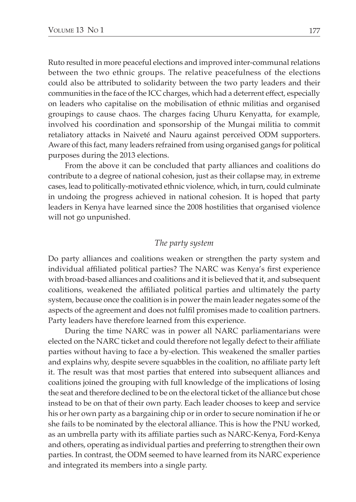Ruto resulted in more peaceful elections and improved inter-communal relations between the two ethnic groups. The relative peacefulness of the elections could also be attributed to solidarity between the two party leaders and their communities in the face of the ICC charges, which had a deterrent effect, especially on leaders who capitalise on the mobilisation of ethnic militias and organised groupings to cause chaos. The charges facing Uhuru Kenyatta, for example, involved his coordination and sponsorship of the Mungai militia to commit retaliatory attacks in Naiveté and Nauru against perceived ODM supporters. Aware of this fact, many leaders refrained from using organised gangs for political purposes during the 2013 elections.

From the above it can be concluded that party alliances and coalitions do contribute to a degree of national cohesion, just as their collapse may, in extreme cases, lead to politically-motivated ethnic violence, which, in turn, could culminate in undoing the progress achieved in national cohesion. It is hoped that party leaders in Kenya have learned since the 2008 hostilities that organised violence will not go unpunished.

#### *The party system*

Do party alliances and coalitions weaken or strengthen the party system and individual affiliated political parties? The NARC was Kenya's first experience with broad-based alliances and coalitions and it is believed that it, and subsequent coalitions, weakened the affiliated political parties and ultimately the party system, because once the coalition is in power the main leader negates some of the aspects of the agreement and does not fulfil promises made to coalition partners. Party leaders have therefore learned from this experience.

During the time NARC was in power all NARC parliamentarians were elected on the NARC ticket and could therefore not legally defect to their affiliate parties without having to face a by-election. This weakened the smaller parties and explains why, despite severe squabbles in the coalition, no affiliate party left it. The result was that most parties that entered into subsequent alliances and coalitions joined the grouping with full knowledge of the implications of losing the seat and therefore declined to be on the electoral ticket of the alliance but chose instead to be on that of their own party. Each leader chooses to keep and service his or her own party as a bargaining chip or in order to secure nomination if he or she fails to be nominated by the electoral alliance. This is how the PNU worked, as an umbrella party with its affiliate parties such as NARC-Kenya, Ford-Kenya and others, operating as individual parties and preferring to strengthen their own parties. In contrast, the ODM seemed to have learned from its NARC experience and integrated its members into a single party.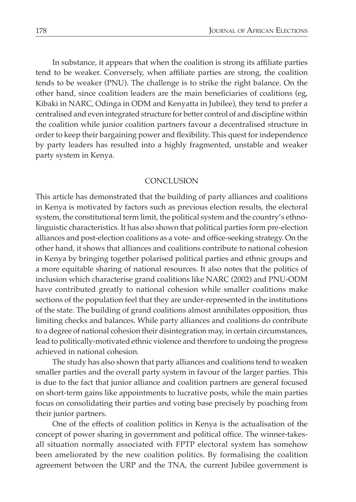In substance, it appears that when the coalition is strong its affiliate parties tend to be weaker. Conversely, when affiliate parties are strong, the coalition tends to be weaker (PNU). The challenge is to strike the right balance. On the other hand, since coalition leaders are the main beneficiaries of coalitions (eg, Kibaki in NARC, Odinga in ODM and Kenyatta in Jubilee), they tend to prefer a centralised and even integrated structure for better control of and discipline within the coalition while junior coalition partners favour a decentralised structure in order to keep their bargaining power and flexibility. This quest for independence by party leaders has resulted into a highly fragmented, unstable and weaker party system in Kenya.

#### **CONCLUSION**

This article has demonstrated that the building of party alliances and coalitions in Kenya is motivated by factors such as previous election results, the electoral system, the constitutional term limit, the political system and the country's ethnolinguistic characteristics. It has also shown that political parties form pre-election alliances and post-election coalitions as a vote- and office-seeking strategy. On the other hand, it shows that alliances and coalitions contribute to national cohesion in Kenya by bringing together polarised political parties and ethnic groups and a more equitable sharing of national resources. It also notes that the politics of inclusion which characterise grand coalitions like NARC (2002) and PNU-ODM have contributed greatly to national cohesion while smaller coalitions make sections of the population feel that they are under-represented in the institutions of the state. The building of grand coalitions almost annihilates opposition, thus limiting checks and balances. While party alliances and coalitions do contribute to a degree of national cohesion their disintegration may, in certain circumstances, lead to politically-motivated ethnic violence and therefore to undoing the progress achieved in national cohesion.

The study has also shown that party alliances and coalitions tend to weaken smaller parties and the overall party system in favour of the larger parties. This is due to the fact that junior alliance and coalition partners are general focused on short-term gains like appointments to lucrative posts, while the main parties focus on consolidating their parties and voting base precisely by poaching from their junior partners.

One of the effects of coalition politics in Kenya is the actualisation of the concept of power sharing in government and political office. The winner-takesall situation normally associated with FPTP electoral system has somehow been ameliorated by the new coalition politics. By formalising the coalition agreement between the URP and the TNA, the current Jubilee government is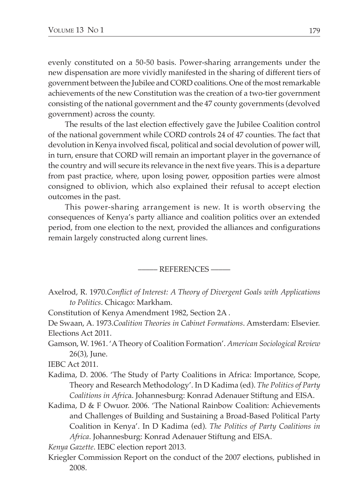evenly constituted on a 50-50 basis. Power-sharing arrangements under the new dispensation are more vividly manifested in the sharing of different tiers of government between the Jubilee and CORD coalitions. One of the most remarkable achievements of the new Constitution was the creation of a two-tier government consisting of the national government and the 47 county governments (devolved government) across the county.

The results of the last election effectively gave the Jubilee Coalition control of the national government while CORD controls 24 of 47 counties. The fact that devolution in Kenya involved fiscal, political and social devolution of power will, in turn, ensure that CORD will remain an important player in the governance of the country and will secure its relevance in the next five years. This is a departure from past practice, where, upon losing power, opposition parties were almost consigned to oblivion, which also explained their refusal to accept election outcomes in the past.

This power-sharing arrangement is new. It is worth observing the consequences of Kenya's party alliance and coalition politics over an extended period, from one election to the next, provided the alliances and configurations remain largely constructed along current lines.

––––– References –––––

- Axelrod, R. 1970.*Conflict of Interest: A Theory of Divergent Goals with Applications to Politics*. Chicago: Markham.
- Constitution of Kenya Amendment 1982, Section 2A .
- De Swaan, A. 1973.*Coalition Theories in Cabinet Formations*. Amsterdam: Elsevier. Elections Act 2011.
- Gamson, W. 1961. 'A Theory of Coalition Formation'. *American Sociological Review*  26(3), June.

IEBC Act 2011.

- Kadima, D. 2006. 'The Study of Party Coalitions in Africa: Importance, Scope, Theory and Research Methodology'. In D Kadima (ed). *The Politics of Party Coalitions in Afric*a. Johannesburg: Konrad Adenauer Stiftung and EISA.
- Kadima, D & F Owuor. 2006. 'The National Rainbow Coalition: Achievements and Challenges of Building and Sustaining a Broad-Based Political Party Coalition in Kenya'. In D Kadima (ed). *The Politics of Party Coalitions in Africa*. Johannesburg: Konrad Adenauer Stiftung and EISA.

*Kenya Gazette*. IEBC election report 2013.

Kriegler Commission Report on the conduct of the 2007 elections, published in 2008.